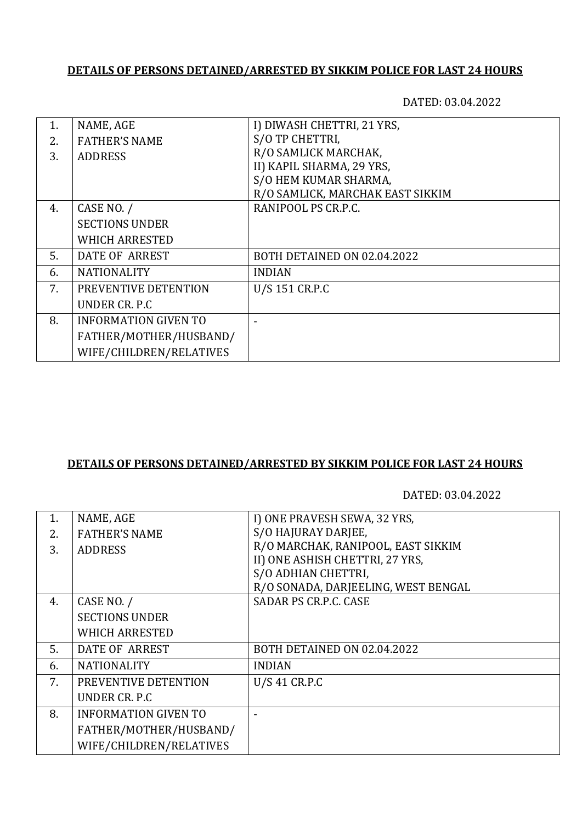## **DETAILS OF PERSONS DETAINED/ARRESTED BY SIKKIM POLICE FOR LAST 24 HOURS**

DATED: 03.04.2022

| $\mathbf{1}$ . | NAME, AGE                   | I) DIWASH CHETTRI, 21 YRS,       |
|----------------|-----------------------------|----------------------------------|
| 2.             | <b>FATHER'S NAME</b>        | S/O TP CHETTRI,                  |
| 3.             | <b>ADDRESS</b>              | R/O SAMLICK MARCHAK,             |
|                |                             | II) KAPIL SHARMA, 29 YRS,        |
|                |                             | S/O HEM KUMAR SHARMA,            |
|                |                             | R/O SAMLICK, MARCHAK EAST SIKKIM |
| 4.             | CASE NO. /                  | RANIPOOL PS CR.P.C.              |
|                | <b>SECTIONS UNDER</b>       |                                  |
|                | <b>WHICH ARRESTED</b>       |                                  |
| 5.             | DATE OF ARREST              | BOTH DETAINED ON 02.04.2022      |
| 6.             | <b>NATIONALITY</b>          | <b>INDIAN</b>                    |
| 7.             | PREVENTIVE DETENTION        | U/S 151 CR.P.C                   |
|                | UNDER CR. P.C.              |                                  |
| 8.             | <b>INFORMATION GIVEN TO</b> |                                  |
|                | FATHER/MOTHER/HUSBAND/      |                                  |
|                | WIFE/CHILDREN/RELATIVES     |                                  |
|                |                             |                                  |

## **DETAILS OF PERSONS DETAINED/ARRESTED BY SIKKIM POLICE FOR LAST 24 HOURS**

DATED: 03.04.2022

| 1. | NAME, AGE                   | I) ONE PRAVESH SEWA, 32 YRS,        |
|----|-----------------------------|-------------------------------------|
| 2. | <b>FATHER'S NAME</b>        | S/O HAJURAY DARJEE,                 |
| 3. | <b>ADDRESS</b>              | R/O MARCHAK, RANIPOOL, EAST SIKKIM  |
|    |                             | II) ONE ASHISH CHETTRI, 27 YRS,     |
|    |                             | S/O ADHIAN CHETTRI,                 |
|    |                             | R/O SONADA, DARJEELING, WEST BENGAL |
| 4. | CASE NO. /                  | SADAR PS CR.P.C. CASE               |
|    | <b>SECTIONS UNDER</b>       |                                     |
|    | <b>WHICH ARRESTED</b>       |                                     |
| 5. | DATE OF ARREST              | BOTH DETAINED ON 02.04.2022         |
| 6. | <b>NATIONALITY</b>          | <b>INDIAN</b>                       |
| 7. | PREVENTIVE DETENTION        | U/S 41 CR.P.C                       |
|    | UNDER CR. P.C.              |                                     |
| 8. | <b>INFORMATION GIVEN TO</b> |                                     |
|    | FATHER/MOTHER/HUSBAND/      |                                     |
|    | WIFE/CHILDREN/RELATIVES     |                                     |